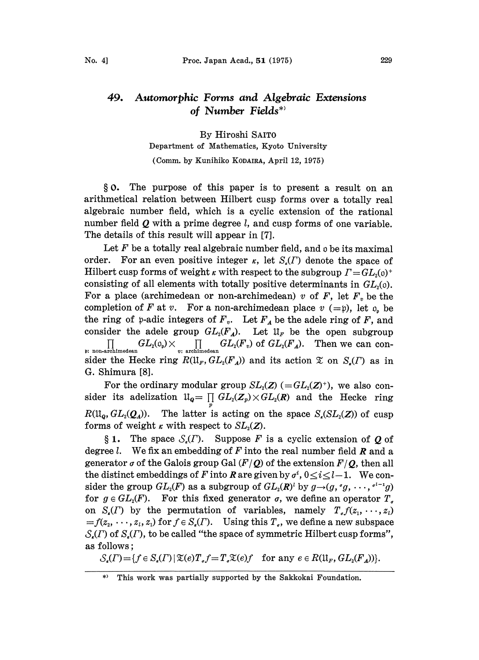## 49. Automorphic Forms and Algebraic Extensions of Number Fields\*'

By Hiroshi SAITO Department of Mathematics, Kyoto University (Comm. by Kunihiko KODAIRA, April 12, 1975)

0. The purpose of this paper is to present a result on an arithmetical relation between Hilbert cusp forms over a totally real algebraic number field, which is a cyclic extension of the rational number field  $Q$  with a prime degree  $l$ , and cusp forms of one variable. The details of this result will appear in [7].

Let  $F$  be a totally real algebraic number field, and  $\varphi$  be its maximal order. For an even positive integer  $\kappa$ , let  $S_{\kappa}(T)$  denote the space of Hilbert cusp forms of weight  $\kappa$  with respect to the subgroup  $\Gamma = GL_2(0)^+$ consisting of all elements with totally positive determinants in  $GL<sub>2</sub>(0)$ . For a place (archimedean or non-archimedean) v of  $F$ , let  $F<sub>v</sub>$  be the completion of F at v. For a non-archimedean place  $v (=p)$ , let  $o_p$  be the ring of p-adic integers of  $F_v$ . Let  $F_A$  be the adele ring of F, and consider the adele group  $GL_2(F_A)$ . Let  $\mathfrak{U}_F$  be the open subgroup  $\prod_{\mathfrak{p}_\mathfrak{i}\text{ non-archimedean}} GL_2(\mathfrak{o}_\mathfrak{p})\times\prod_{v\colon\text{ arehimedean}} GL_2(F_v) \text{ of } GL_2(F_A).$  Then we can consider the Hecke ring  $R(\mathfrak{U}_F, GL_2(F_A))$  and its action  $\mathfrak{X}$  on  $S_r(\Gamma)$  as in G. Shimura [8].

For the ordinary modular group  $SL_2(\mathbb{Z}) \subset GL_2(\mathbb{Z})^+$ , we also consider its adelization  $\mathfrak{U}_{{\bm q}}=\prod\limits_p {G{L_2}({\bm Z}_p)} \times {G{L_2}({\bm R})}$  and the Hecke ring  $R(\mathfrak{U}_q, GL_2(\mathcal{Q}_q))$ . The latter is acting on the space  $S_r(SL_2(Z))$  of cusp forms of weight  $\kappa$  with respect to  $SL_2(\mathbb{Z})$ .

§ 1. The space  $S_n(\Gamma)$ . Suppose F is a cyclic extension of O of degree l. We fix an embedding of  $F$  into the real number field  $R$  and a generator  $\sigma$  of the Galois group Gal ( $F/Q$ ) of the extension  $F/Q$ , then all the distinct embeddings of F into R are given by  $\sigma^i$ ,  $0 \le i \le l-1$ . We consider the group  $GL_2(F)$  as a subgroup of  $GL_2(R)^l$  by  $g\rightarrow(g, g', \cdots, g^{l-1}g)$ for  $g \in GL_2(F)$ . For this fixed generator  $\sigma$ , we define an operator  $T_a$ on  $S_r(\Gamma)$  by the permutation of variables, namely  $T_s f(z_1, \dots, z_t)$  $=f(z_2, \dots, z_i, z_1)$  for  $f \in S_r(\Gamma)$ . Using this  $T_s$ , we define a new subspace  $S_{\epsilon}(F)$  of  $S_{\epsilon}(F)$ , to be called "the space of symmetric Hilbert cusp forms", as follows;

 $S_{\epsilon}(T) = \{f \in S_{\epsilon}(T) \mid \mathfrak{X}(e)T_{\epsilon}f = T_{\epsilon} \mathfrak{X}(e)f \text{ for any } e \in R(\mathfrak{U}_F, GL_2(F_A))\}.$ 

<sup>\*)</sup> This work was partially supported by the Sakkokai Foundation.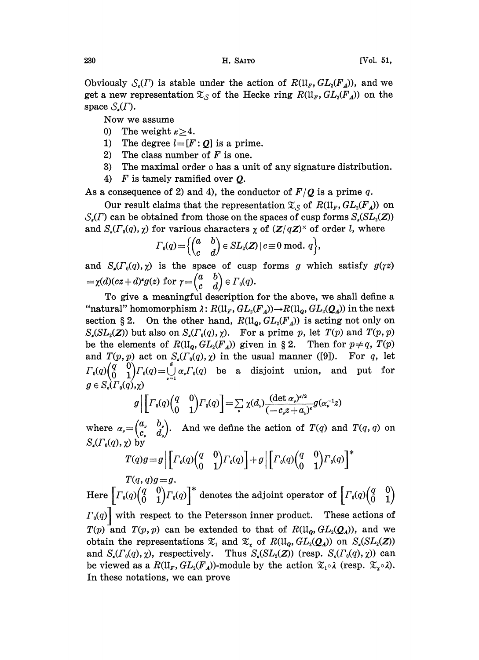Obviously  $S_{\epsilon}(T)$  is stable under the action of  $R(\mathfrak{U}_F, GL_2(F_A))$ , and we get a new representation  $\mathfrak{X}_{\mathcal{S}}$  of the Hecke ring  $R(\mathfrak{U}_F, GL_2(F_A))$  on the space  $S_{\kappa}(T)$ .

Now we assume

- 0) The weight  $\kappa > 4$ .
- 1) The degree  $l=[F:Q]$  is a prime.
- 2) The class number of  $F$  is one.
- 3) The maximal order  $\rho$  has a unit of any signature distribution.
- 4)  $\bm{F}$  is tamely ramified over  $\bm{Q}$ .

As a consequence of 2) and 4), the conductor of  $F/Q$  is a prime q.

Our result claims that the representation  $\mathfrak{X}_{\mathcal{S}}$  of  $R(\mathfrak{U}_F, GL_2(F_A))$  on  $S_{\epsilon}(T)$  can be obtained from those on the spaces of cusp forms  $S_{\epsilon}(SL_2(Z))$ and  $S_{\mu}(r_{0}(q), \chi)$  for various characters  $\chi$  of  $(Z/qZ)^{\times}$  of order l, where

$$
\Gamma_{0}(q) = \Big\{ \begin{pmatrix} a & b \\ c & d \end{pmatrix} \in SL_{2}(\mathbf{Z}) \,|\, c \equiv 0 \,\,\text{mod.}\,\, q \Big\},
$$

and  $S_{\epsilon}(r_{0}(q), \chi)$  is the space of cusp forms g which satisfy  $g(\gamma z)$  $=\chi(d)(cz+d)^*g(z)$  for  $\gamma=\begin{pmatrix} a & b \\ c & d \end{pmatrix} \in \Gamma_0(q)$ .

To give a meaningful description for the above, we shall define a "natural" homomorphism  $\lambda: R(\mathfrak{U}_F, GL_2(F_A)) \to R(\mathfrak{U}_o, GL_2(\mathcal{Q}_A))$  in the next section § 2. On the other hand,  $R(\mathfrak{U}_q, GL_2(F_A))$  is acting not only on  $S_{\epsilon}(SL_2(\mathbb{Z}))$  but also on  $S_{\epsilon}(T_0(q), \chi)$ . For a prime p, let  $T(p)$  and  $T(p, p)$ be the elements of  $R(\mathfrak{U}_q, GL_2(F_A))$  given in § 2. Then for  $p \neq q$ ,  $T(p)$ and  $T(p, p)$  act on  $S_r(\Gamma_0(q), \chi)$  in the usual manner ([9]). For q, let  $\Gamma_0(q) \begin{pmatrix} q & 0 \\ 0 & 1 \end{pmatrix} \Gamma_0(q) = \bigcup_{\nu=1}^{\infty} \alpha_{\nu} \Gamma_0(q)$  be a disjoint union, and put for  $g \in S_{\epsilon}(\Gamma_0(q), \gamma)$ 

$$
g\left|\left[\Gamma_{0}(q)\begin{pmatrix}q&0\\0&1\end{pmatrix}\Gamma_{0}(q)\right]=\sum_{\nu}\chi(d_{\nu})\frac{(\det\alpha_{\nu})^{\kappa/2}}{(-c_{\nu}z+a_{\nu})^{\kappa}}g(\alpha_{\nu}^{-1}z)\right|
$$

where  $\alpha_{\nu} = \begin{pmatrix} a_{\nu} & b_{\nu} \\ c_{\nu} & d_{\nu} \end{pmatrix}$ . And we define the action of  $T(q)$  and  $T(q, q)$  on  $S_\cdot(\Gamma_\theta(a), \gamma)$  by

$$
T(q)g = g \left| \left[ \Gamma_0(q) \begin{pmatrix} q & 0 \\ 0 & 1 \end{pmatrix} \Gamma_0(q) \right] + g \left| \left[ \Gamma_0(q) \begin{pmatrix} q & 0 \\ 0 & 1 \end{pmatrix} \Gamma_0(q) \right] \right|^*
$$

 $T(q, q)g = g.$ Here  $\left[\varGamma_{\scriptscriptstyle 0}(q)\begin{pmatrix}q&0\0&1\end{pmatrix}\varGamma_{\scriptscriptstyle 0}(q)\right]^{\scriptscriptstyle\ast}$  denotes the adjoint operator of  $\left[\varGamma_{\scriptscriptstyle 0}(q)\begin{pmatrix}q&0\0&1\end{pmatrix}\right]$  $\left.\Gamma_{0}(q)\right|$  with respect to the Petersson inner product. These actions of  $T(p)$  and  $T(p, p)$  can be extended to that of  $R(\mathfrak{U}_p, GL_2(\mathcal{Q}_4))$ , and we obtain the representations  $\mathfrak{X}_1$  and  $\mathfrak{X}_2$  of  $R(\mathfrak{U}_q, GL_2(\mathcal{Q}_4))$  on  $S_r(SL_2(Z))$ and  $S_r(\Gamma_0(q), \chi)$ , respectively. Thus  $S_r(SL_2(Z))$  (resp.  $S_r(\Gamma_0(q), \chi)$ ) can be viewed as a  $R(\mathfrak{U}_F, GL_2(F_A))$ -module by the action  $\mathfrak{X}_1 \circ \lambda$  (resp.  $\mathfrak{X}_2 \circ \lambda$ ). In these notations, we can prove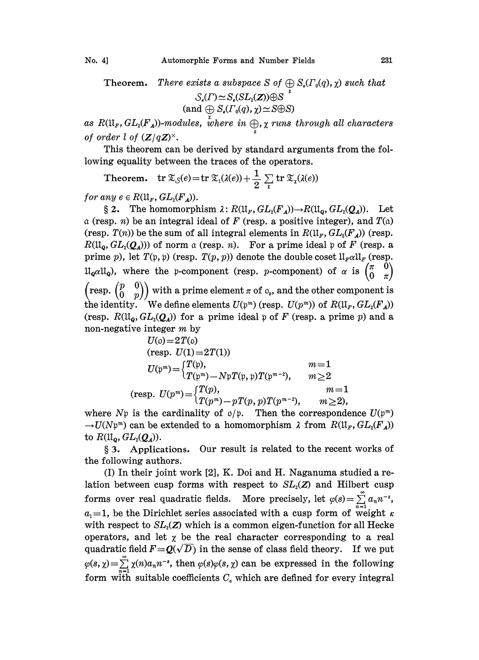Theorem. There exists a subspace S of  $\bigoplus S_{\kappa}(T_0(q), \chi)$  such that  $\begin{array}{c} \mathcal{S}_\epsilon(\varGamma){\simeq}\operatorname{S}_\epsilon(\operatorname{SL}_2(\mathbf{Z})){\oplus}\operatorname{S}\ \operatorname{(and}\, {\underset{\mathcal{V}}\bigoplus}\operatorname{S}_\epsilon(\varGamma_\mathfrak{o}(q),{\chi}){\simeq}\operatorname{S}{\oplus}\operatorname{S}) \end{array}$ 

as  $R(\mathfrak{U}_F, GL_2(F_A))$ -modules, where  $\displaystyle\inf_{\mathcal{U}}\oplus\chi$  runs through all characters of order l of  $(Z/qZ)^{\times}$ .

This theorem can be derived by standard arguments from the following equality between the traces of the operators.

Theorem.  $\displaystyle \mathrm{tr} \ \mathfrak{T}_{\mathcal{S}}(e) \!=\! \mathrm{tr} \ \mathfrak{T}_1(\lambda(e)) \! +\! \frac{1}{2} \sum\limits_{\chi} \mathrm{tr} \ \mathfrak{T}_\chi(\lambda(e))$ 

for any  $e \in R(\mathfrak{U}_F, GL_2(F_A)).$ 

**2.** The homomorphism  $\lambda: R(\mathfrak{U}_F, GL_2(F_A)) \to R(\mathfrak{U}_Q, GL_2(Q_A))$ . Let <br>b. *n*) be an integral ideal of *F* (resp. a positive integer), and *T*(a)  $\alpha$  (resp. *n*) be an integral ideal of F (resp. a positive integer), and  $T(\alpha)$ (resp.  $T(n)$ ) be the sum of all integral elements in  $R(\mathfrak{U}_F, GL_2(F_A))$  (resp.  $R(\mathfrak{U}_q, GL_2(\mathcal{Q}_A))$  of norm a (resp. n). For a prime ideal p of F (resp. a prime p), let  $T(\mathfrak{p}, \mathfrak{p})$  (resp.  $T(p, p)$ ) denote the double coset  $\mathfrak{U}_{F} \alpha \mathfrak{U}_{F}$  (resp.  $\mathfrak{U}_{\mathbf{Q}} \alpha \mathfrak{U}_{\mathbf{Q}}$ , where the p-component (resp. p-component) of  $\alpha$  is  $\begin{pmatrix} \pi & 0 \\ 0 & \pi \end{pmatrix}$  $\left(\text{resp.} \begin{pmatrix} p & 0 \\ 0 & p \end{pmatrix} \right)$  with a prime element  $\pi$  of  $o_p$ , and the other component is the identity. We define elements  $U(\mathfrak{p}^m)$  (resp.  $U(p^m)$ ) of  $R(\mathfrak{U}_F, GL_2(F_A))$ (resp.  $R(\mathfrak{U}_{\mathbf{Q}}, GL_2(\mathbf{Q}_d))$  for a prime ideal p of F (resp. a prime p) and a non-negative integer m by

$$
U(\mathfrak{o}) = 2T(\mathfrak{o})
$$
  
\n
$$
(\text{resp. } U(1) = 2T(1))
$$
  
\n
$$
U(\mathfrak{p}^m) = \begin{cases} T(\mathfrak{p}), & m = 1 \\ T(\mathfrak{p}^m) - N\mathfrak{p}T(\mathfrak{p}, \mathfrak{p})T(\mathfrak{p}^{m-2}), & m \ge 2 \end{cases}
$$
  
\n
$$
(\text{resp. } U(p^m) = \begin{cases} T(p), & m = 1 \\ T(p^m) - pT(p, p)T(p^{m-2}), & m \ge 2 \end{cases}
$$

where  $N\mathfrak{p}$  is the cardinality of  $\mathfrak{q}/\mathfrak{p}$ . Then the correspondence  $U(\mathfrak{p}^m)$  $\rightarrow U(Np^m)$  can be extended to a homomorphism  $\lambda$  from  $R(\mathfrak{U}_F, GL_2(F_A))$ to  $R(\mathfrak{U}_q, GL_2(\mathcal{Q}_A)).$ 

3. Applications. Our result is related to the recent works of the following authors.

(I) In their joint work [2], K. Doi and H. Naganuma studied a relation between cusp forms with respect to  $SL<sub>2</sub>(Z)$  and Hilbert cusp forms over real quadratic fields. More precisely, let  $\varphi(s) = \sum_{n=1}^{\infty} a_n n^{-s}$ ,  $a_1 = 1$ , be the Dirichlet series associated with a cusp form of weight  $\kappa$ with respect to  $SL<sub>2</sub>(Z)$  which is a common eigen-function for all Hecke operators, and let  $\chi$  be the real character corresponding to a real quadratic field  $F=Q(\sqrt{D})$  in the sense of class field theory. If we put  $\varphi(s, \chi) = \sum_{n=1}^{\infty} \chi(n)a_n n^{-s}$ , then  $\varphi(s)\varphi(s, \chi)$  can be expressed in the following form with suitable coefficients  $C<sub>a</sub>$  which are defined for every integral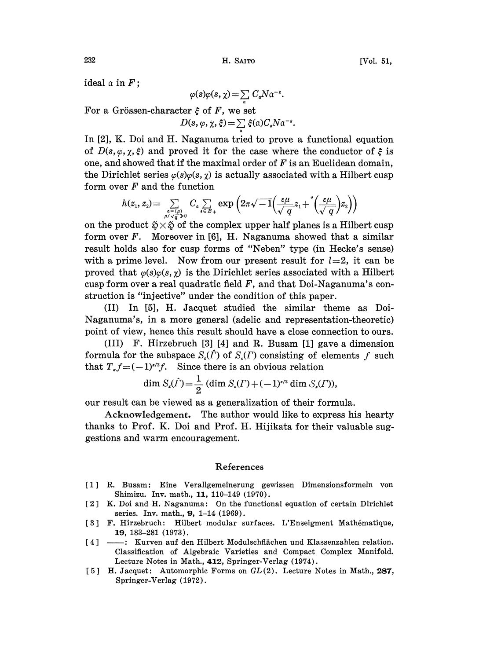ideal  $\alpha$  in  $F$ ;

$$
\varphi(s)\varphi(s,\chi) = \sum_{a} C_{a}N\alpha^{-s}.
$$

For a Grössen-character  $\xi$  of F, we set

$$
D(s,\varphi,\chi,\xi) = \sum_{\alpha} \xi(\alpha) C_{\alpha} N \alpha^{-s}.
$$

In  $[2]$ , K. Doi and H. Naganuma tried to prove a functional equation of  $D(s, \varphi, \chi, \xi)$  and proved it for the case where the conductor of  $\xi$  is one, and showed that if the maximal order of  $F$  is an Euclidean domain, the Dirichlet series  $\varphi(s)\varphi(s, \chi)$  is actually associated with a Hilbert cusp form over  $F$  and the function

(

on the product  $\tilde{\mathfrak{D}} \times \tilde{\mathfrak{D}}$  of the complex upper half planes is a Hilbert cusp form over  $F$ . Moreover in [6], H. Naganuma showed that a similar result holds also for cusp forms of "Neben" type (in Hecke's sense) with a prime level. Now from our present result for  $l=2$ , it can be proved that  $\varphi(s)\varphi(s,\chi)$  is the Dirichlet series associated with a Hilbert cusp form over a real quadratic field  $F$ , and that Doi-Naganuma's construction is "injective" under the condition of this paper.

(II) In [5], H. Jacquet studied the similar theme as Doi-Naganuma's, in a more general (adelic and representation-theoretic) point of view, hence this result should have a close connection to ours.

(III) F. Hirzebruch [3] [4] and R. Busam [1] gave a dimension formula for the subspace  $S_{\epsilon}(\hat{\Gamma})$  of  $S_{\epsilon}(\Gamma)$  consisting of elements f such that  $T<sub>a</sub>f=(-1)^{k/2}f$ . Since there is an obvious relation

dim 
$$
S_{\kappa}(\hat{\Gamma}) = \frac{1}{2} (\dim S_{\kappa}(\Gamma) + (-1)^{\kappa/2} \dim S_{\kappa}(\Gamma)),
$$

our result can be viewed as a generalization of their formula.

Acknowledgement. The author would like to express his hearty thanks to Prof. K. Doi and Prof. H. Hijikata for their valuable suggestions and warm encouragement.

## References

- [1 R. Busam: Eine Verallgemeinerung gewissen Dimensionsformeln von Shimizu. Inv. math., 11, 110-149 (1970).
- [2] K. Doi and H. Naganuma: On the functional equation of certain Dirichlet series. Inv. math., 9, 1-14 (1969).
- 3 F. tIirzebruch: Hilbert modular surfaces. L'Enseigment Math6matique, 19, 183-281 (1973).
- [4] ----: Kurven auf den Hilbert Modulschflächen und Klassenzahlen relation. Classification of Algebraic Varieties and Compact Complex Manifold. Lecture Notes in Math., 412, Springer-Verlag (1974).
- [5] H. Jacquet: Automorphic Forms on  $GL(2)$ . Lecture Notes in Math., 287, Springer-Verlag (1972).